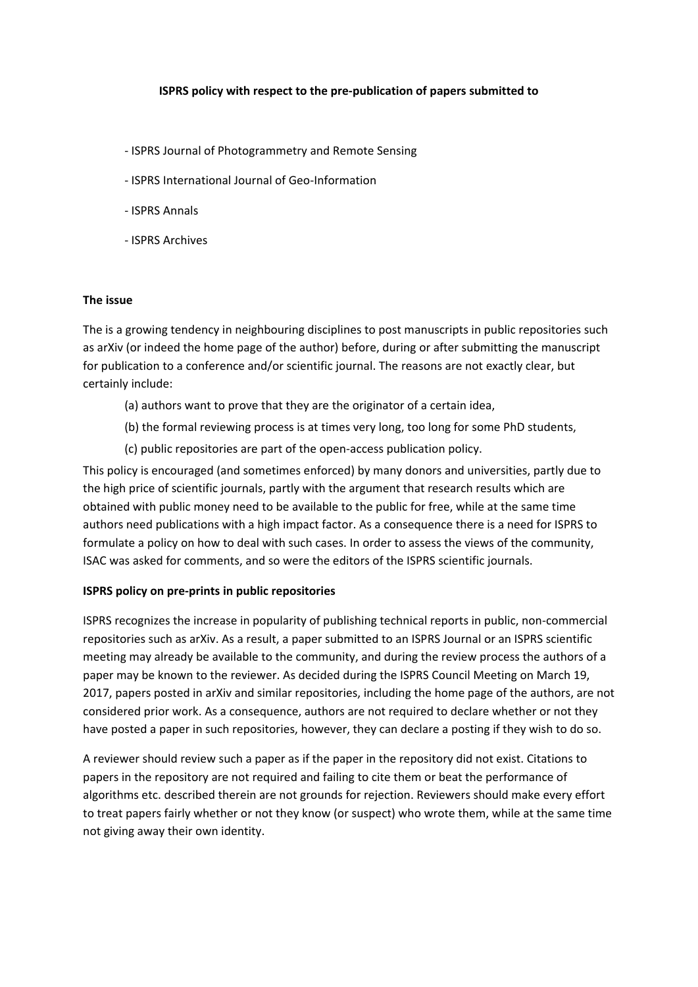## **ISPRS policy with respect to the pre‐publication of papers submitted to**

- ‐ ISPRS Journal of Photogrammetry and Remote Sensing
- ‐ ISPRS International Journal of Geo‐Information
- ‐ ISPRS Annals
- ‐ ISPRS Archives

## **The issue**

The is a growing tendency in neighbouring disciplines to post manuscripts in public repositories such as arXiv (or indeed the home page of the author) before, during or after submitting the manuscript for publication to a conference and/or scientific journal. The reasons are not exactly clear, but certainly include:

- (a) authors want to prove that they are the originator of a certain idea,
- (b) the formal reviewing process is at times very long, too long for some PhD students,
- (c) public repositories are part of the open‐access publication policy.

This policy is encouraged (and sometimes enforced) by many donors and universities, partly due to the high price of scientific journals, partly with the argument that research results which are obtained with public money need to be available to the public for free, while at the same time authors need publications with a high impact factor. As a consequence there is a need for ISPRS to formulate a policy on how to deal with such cases. In order to assess the views of the community, ISAC was asked for comments, and so were the editors of the ISPRS scientific journals.

## **ISPRS policy on pre‐prints in public repositories**

ISPRS recognizes the increase in popularity of publishing technical reports in public, non‐commercial repositories such as arXiv. As a result, a paper submitted to an ISPRS Journal or an ISPRS scientific meeting may already be available to the community, and during the review process the authors of a paper may be known to the reviewer. As decided during the ISPRS Council Meeting on March 19, 2017, papers posted in arXiv and similar repositories, including the home page of the authors, are not considered prior work. As a consequence, authors are not required to declare whether or not they have posted a paper in such repositories, however, they can declare a posting if they wish to do so.

A reviewer should review such a paper as if the paper in the repository did not exist. Citations to papers in the repository are not required and failing to cite them or beat the performance of algorithms etc. described therein are not grounds for rejection. Reviewers should make every effort to treat papers fairly whether or not they know (or suspect) who wrote them, while at the same time not giving away their own identity.